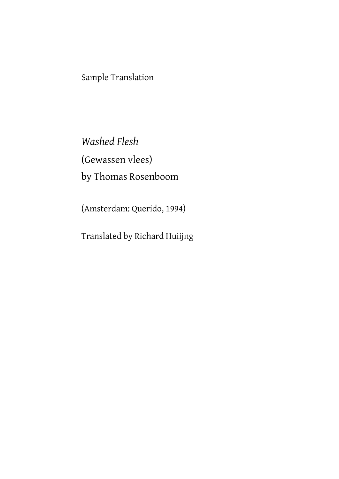Sample Translation

*Washed Flesh* (Gewassen vlees) by Thomas Rosenboom

(Amsterdam: Querido, 1994)

Translated by Richard Huiijng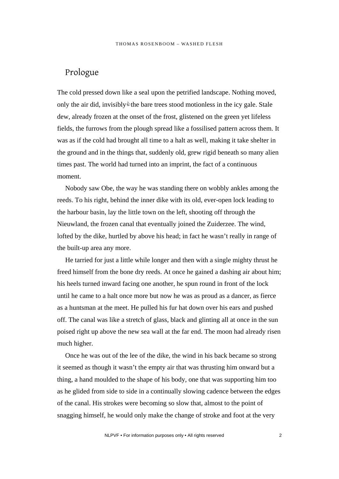## Prologue

The cold pressed down like a seal upon the petrified landscape. Nothing moved, only the air did, invisibly&the bare trees stood motionless in the icy gale. Stale dew, already frozen at the onset of the frost, glistened on the green yet lifeless fields, the furrows from the plough spread like a fossilised pattern across them. It was as if the cold had brought all time to a halt as well, making it take shelter in the ground and in the things that, suddenly old, grew rigid beneath so many alien times past. The world had turned into an imprint, the fact of a continuous moment.

Nobody saw Obe, the way he was standing there on wobbly ankles among the reeds. To his right, behind the inner dike with its old, ever-open lock leading to the harbour basin, lay the little town on the left, shooting off through the Nieuwland, the frozen canal that eventually joined the Zuiderzee. The wind, lofted by the dike, hurtled by above his head; in fact he wasn't really in range of the built-up area any more.

He tarried for just a little while longer and then with a single mighty thrust he freed himself from the bone dry reeds. At once he gained a dashing air about him; his heels turned inward facing one another, he spun round in front of the lock until he came to a halt once more but now he was as proud as a dancer, as fierce as a huntsman at the meet. He pulled his fur hat down over his ears and pushed off. The canal was like a stretch of glass, black and glinting all at once in the sun poised right up above the new sea wall at the far end. The moon had already risen much higher.

Once he was out of the lee of the dike, the wind in his back became so strong it seemed as though it wasn't the empty air that was thrusting him onward but a thing, a hand moulded to the shape of his body, one that was supporting him too as he glided from side to side in a continually slowing cadence between the edges of the canal. His strokes were becoming so slow that, almost to the point of snagging himself, he would only make the change of stroke and foot at the very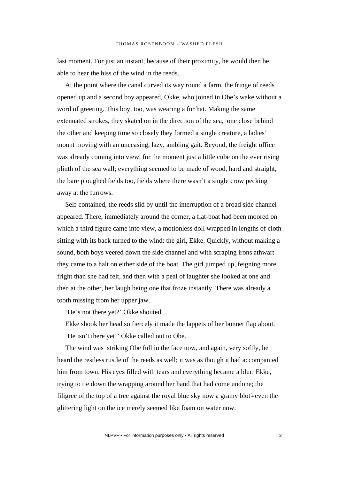last moment. For just an instant, because of their proximity, he would then be able to hear the hiss of the wind in the reeds.

At the point where the canal curved its way round a farm, the fringe of reeds opened up and a second boy appeared, Okke, who joined in Obe's wake without a word of greeting. This boy, too, was wearing a fur hat. Making the same extenuated strokes, they skated on in the direction of the sea, one close behind the other and keeping time so closely they formed a single creature, a ladies' mount moving with an unceasing, lazy, ambling gait. Beyond, the freight office was already coming into view, for the moment just a little cube on the ever rising plinth of the sea wall; everything seemed to be made of wood, hard and straight, the bare ploughed fields too, fields where there wasn't a single crow pecking away at the furrows.

Self-contained, the reeds slid by until the interruption of a broad side channel appeared. There, immediately around the corner, a flat-boat had been moored on which a third figure came into view, a motionless doll wrapped in lengths of cloth sitting with its back turned to the wind: the girl, Ekke. Quickly, without making a sound, both boys veered down the side channel and with scraping irons athwart they came to a halt on either side of the boat. The girl jumped up, feigning more fright than she had felt, and then with a peal of laughter she looked at one and then at the other, her laugh being one that froze instantly. There was already a tooth missing from her upper jaw.

'He's not there yet?' Okke shouted.

Ekke shook her head so fiercely it made the lappets of her bonnet flap about. 'He isn't there yet!' Okke called out to Obe.

The wind was striking Obe full in the face now, and again, very softly, he heard the restless rustle of the reeds as well; it was as though it had accompanied him from town. His eyes filled with tears and everything became a blur: Ekke, trying to tie down the wrapping around her hand that had come undone; the filigree of the top of a tree against the royal blue sky now a grainy blot even the glittering light on the ice merely seemed like foam on water now.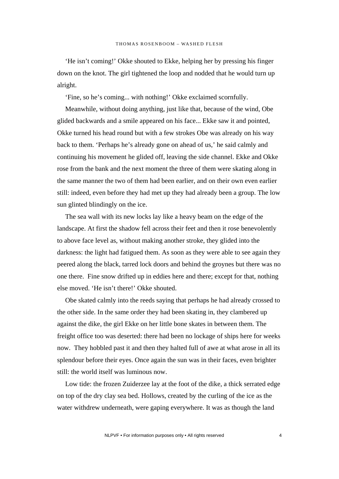'He isn't coming!' Okke shouted to Ekke, helping her by pressing his finger down on the knot. The girl tightened the loop and nodded that he would turn up alright.

'Fine, so he's coming... with nothing!' Okke exclaimed scornfully.

Meanwhile, without doing anything, just like that, because of the wind, Obe glided backwards and a smile appeared on his face... Ekke saw it and pointed, Okke turned his head round but with a few strokes Obe was already on his way back to them. 'Perhaps he's already gone on ahead of us,' he said calmly and continuing his movement he glided off, leaving the side channel. Ekke and Okke rose from the bank and the next moment the three of them were skating along in the same manner the two of them had been earlier, and on their own even earlier still: indeed, even before they had met up they had already been a group. The low sun glinted blindingly on the ice.

The sea wall with its new locks lay like a heavy beam on the edge of the landscape. At first the shadow fell across their feet and then it rose benevolently to above face level as, without making another stroke, they glided into the darkness: the light had fatigued them. As soon as they were able to see again they peered along the black, tarred lock doors and behind the groynes but there was no one there. Fine snow drifted up in eddies here and there; except for that, nothing else moved. 'He isn't there!' Okke shouted.

Obe skated calmly into the reeds saying that perhaps he had already crossed to the other side. In the same order they had been skating in, they clambered up against the dike, the girl Ekke on her little bone skates in between them. The freight office too was deserted: there had been no lockage of ships here for weeks now. They hobbled past it and then they halted full of awe at what arose in all its splendour before their eyes. Once again the sun was in their faces, even brighter still: the world itself was luminous now.

Low tide: the frozen Zuiderzee lay at the foot of the dike, a thick serrated edge on top of the dry clay sea bed. Hollows, created by the curling of the ice as the water withdrew underneath, were gaping everywhere. It was as though the land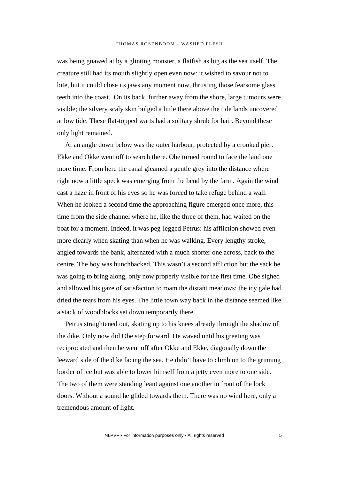was being gnawed at by a glinting monster, a flatfish as big as the sea itself. The creature still had its mouth slightly open even now: it wished to savour not to bite, but it could close its jaws any moment now, thrusting those fearsome glass teeth into the coast. On its back, further away from the shore, large tumours were visible; the silvery scaly skin bulged a little there above the tide lands uncovered at low tide. These flat-topped warts had a solitary shrub for hair. Beyond these only light remained.

At an angle down below was the outer harbour, protected by a crooked pier. Ekke and Okke went off to search there. Obe turned round to face the land one more time. From here the canal gleamed a gentle grey into the distance where right now a little speck was emerging from the bend by the farm. Again the wind cast a haze in front of his eyes so he was forced to take refuge behind a wall. When he looked a second time the approaching figure emerged once more, this time from the side channel where he, like the three of them, had waited on the boat for a moment. Indeed, it was peg-legged Petrus: his affliction showed even more clearly when skating than when he was walking. Every lengthy stroke, angled towards the bank, alternated with a much shorter one across, back to the centre. The boy was hunchbacked. This wasn't a second affliction but the sack he was going to bring along, only now properly visible for the first time. Obe sighed and allowed his gaze of satisfaction to roam the distant meadows; the icy gale had dried the tears from his eyes. The little town way back in the distance seemed like a stack of woodblocks set down temporarily there.

Petrus straightened out, skating up to his knees already through the shadow of the dike. Only now did Obe step forward. He waved until his greeting was reciprocated and then he went off after Okke and Ekke, diagonally down the leeward side of the dike facing the sea. He didn't have to climb on to the grinning border of ice but was able to lower himself from a jetty even more to one side. The two of them were standing leant against one another in front of the lock doors. Without a sound he glided towards them. There was no wind here, only a tremendous amount of light.

NLPVF • For information purposes only • All rights reserved 5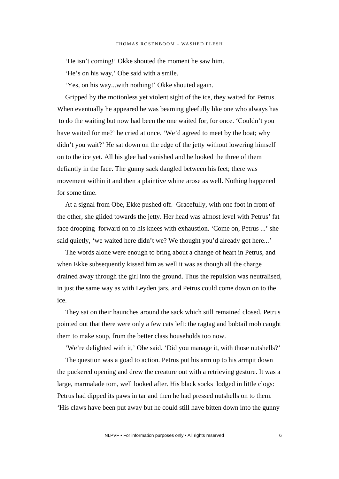'He isn't coming!' Okke shouted the moment he saw him.

'He's on his way,' Obe said with a smile.

'Yes, on his way...with nothing!' Okke shouted again.

Gripped by the motionless yet violent sight of the ice, they waited for Petrus. When eventually he appeared he was beaming gleefully like one who always has to do the waiting but now had been the one waited for, for once. 'Couldn't you have waited for me?' he cried at once. 'We'd agreed to meet by the boat; why didn't you wait?' He sat down on the edge of the jetty without lowering himself on to the ice yet. All his glee had vanished and he looked the three of them defiantly in the face. The gunny sack dangled between his feet; there was movement within it and then a plaintive whine arose as well. Nothing happened for some time.

At a signal from Obe, Ekke pushed off. Gracefully, with one foot in front of the other, she glided towards the jetty. Her head was almost level with Petrus' fat face drooping forward on to his knees with exhaustion. 'Come on, Petrus ...' she said quietly, 'we waited here didn't we? We thought you'd already got here...'

The words alone were enough to bring about a change of heart in Petrus, and when Ekke subsequently kissed him as well it was as though all the charge drained away through the girl into the ground. Thus the repulsion was neutralised, in just the same way as with Leyden jars, and Petrus could come down on to the ice.

They sat on their haunches around the sack which still remained closed. Petrus pointed out that there were only a few cats left: the ragtag and bobtail mob caught them to make soup, from the better class households too now.

'We're delighted with it,' Obe said. 'Did you manage it, with those nutshells?'

The question was a goad to action. Petrus put his arm up to his armpit down the puckered opening and drew the creature out with a retrieving gesture. It was a large, marmalade tom, well looked after. His black socks lodged in little clogs: Petrus had dipped its paws in tar and then he had pressed nutshells on to them. 'His claws have been put away but he could still have bitten down into the gunny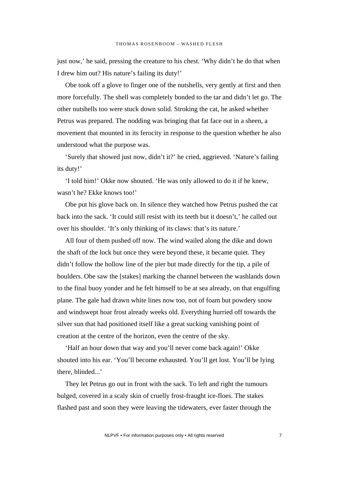just now,' he said, pressing the creature to his chest. 'Why didn't he do that when I drew him out? His nature's failing its duty!'

Obe took off a glove to finger one of the nutshells, very gently at first and then more forcefully. The shell was completely bonded to the tar and didn't let go. The other nutshells too were stuck down solid. Stroking the cat, he asked whether Petrus was prepared. The nodding was bringing that fat face out in a sheen, a movement that mounted in its ferocity in response to the question whether he also understood what the purpose was.

'Surely that showed just now, didn't it?' he cried, aggrieved. 'Nature's failing its duty!'

'I told him!' Okke now shouted. 'He was only allowed to do it if he knew, wasn't he? Ekke knows too!'

Obe put his glove back on. In silence they watched how Petrus pushed the cat back into the sack. 'It could still resist with its teeth but it doesn't,' he called out over his shoulder. 'It's only thinking of its claws: that's its nature.'

All four of them pushed off now. The wind wailed along the dike and down the shaft of the lock but once they were beyond these, it became quiet. They didn't follow the hollow line of the pier but made directly for the tip, a pile of boulders. Obe saw the [stakes] marking the channel between the washlands down to the final buoy yonder and he felt himself to be at sea already, on that engulfing plane. The gale had drawn white lines now too, not of foam but powdery snow and windswept hoar frost already weeks old. Everything hurried off towards the silver sun that had positioned itself like a great sucking vanishing point of creation at the centre of the horizon, even the centre of the sky.

'Half an hour down that way and you'll never come back again!' Okke shouted into his ear. 'You'll become exhausted. You'll get lost. You'll be lying there, blinded...'

They let Petrus go out in front with the sack. To left and right the tumours bulged, covered in a scaly skin of cruelly frost-fraught ice-floes. The stakes flashed past and soon they were leaving the tidewaters, ever faster through the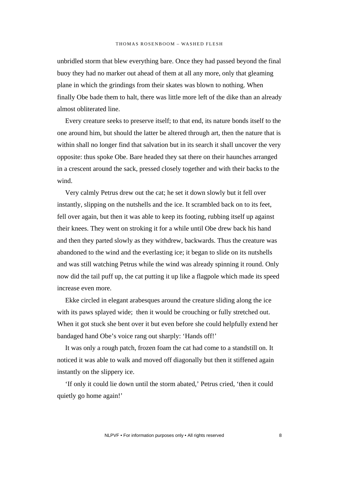unbridled storm that blew everything bare. Once they had passed beyond the final buoy they had no marker out ahead of them at all any more, only that gleaming plane in which the grindings from their skates was blown to nothing. When finally Obe bade them to halt, there was little more left of the dike than an already almost obliterated line.

Every creature seeks to preserve itself; to that end, its nature bonds itself to the one around him, but should the latter be altered through art, then the nature that is within shall no longer find that salvation but in its search it shall uncover the very opposite: thus spoke Obe. Bare headed they sat there on their haunches arranged in a crescent around the sack, pressed closely together and with their backs to the wind.

Very calmly Petrus drew out the cat; he set it down slowly but it fell over instantly, slipping on the nutshells and the ice. It scrambled back on to its feet, fell over again, but then it was able to keep its footing, rubbing itself up against their knees. They went on stroking it for a while until Obe drew back his hand and then they parted slowly as they withdrew, backwards. Thus the creature was abandoned to the wind and the everlasting ice; it began to slide on its nutshells and was still watching Petrus while the wind was already spinning it round. Only now did the tail puff up, the cat putting it up like a flagpole which made its speed increase even more.

Ekke circled in elegant arabesques around the creature sliding along the ice with its paws splayed wide; then it would be crouching or fully stretched out. When it got stuck she bent over it but even before she could helpfully extend her bandaged hand Obe's voice rang out sharply: 'Hands off!'

It was only a rough patch, frozen foam the cat had come to a standstill on. It noticed it was able to walk and moved off diagonally but then it stiffened again instantly on the slippery ice.

'If only it could lie down until the storm abated,' Petrus cried, 'then it could quietly go home again!'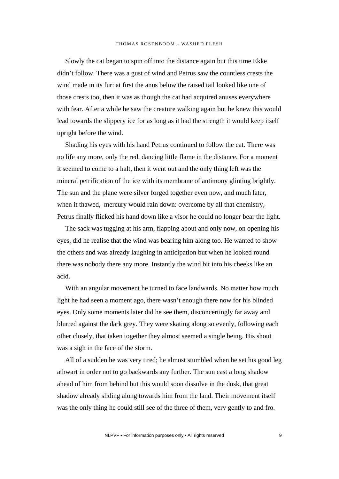Slowly the cat began to spin off into the distance again but this time Ekke didn't follow. There was a gust of wind and Petrus saw the countless crests the wind made in its fur: at first the anus below the raised tail looked like one of those crests too, then it was as though the cat had acquired anuses everywhere with fear. After a while he saw the creature walking again but he knew this would lead towards the slippery ice for as long as it had the strength it would keep itself upright before the wind.

Shading his eyes with his hand Petrus continued to follow the cat. There was no life any more, only the red, dancing little flame in the distance. For a moment it seemed to come to a halt, then it went out and the only thing left was the mineral petrification of the ice with its membrane of antimony glinting brightly. The sun and the plane were silver forged together even now, and much later, when it thawed, mercury would rain down: overcome by all that chemistry, Petrus finally flicked his hand down like a visor he could no longer bear the light.

The sack was tugging at his arm, flapping about and only now, on opening his eyes, did he realise that the wind was bearing him along too. He wanted to show the others and was already laughing in anticipation but when he looked round there was nobody there any more. Instantly the wind bit into his cheeks like an acid.

With an angular movement he turned to face landwards. No matter how much light he had seen a moment ago, there wasn't enough there now for his blinded eyes. Only some moments later did he see them, disconcertingly far away and blurred against the dark grey. They were skating along so evenly, following each other closely, that taken together they almost seemed a single being. His shout was a sigh in the face of the storm.

All of a sudden he was very tired; he almost stumbled when he set his good leg athwart in order not to go backwards any further. The sun cast a long shadow ahead of him from behind but this would soon dissolve in the dusk, that great shadow already sliding along towards him from the land. Their movement itself was the only thing he could still see of the three of them, very gently to and fro.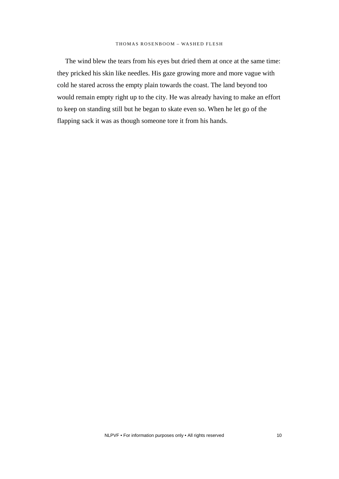The wind blew the tears from his eyes but dried them at once at the same time: they pricked his skin like needles. His gaze growing more and more vague with cold he stared across the empty plain towards the coast. The land beyond too would remain empty right up to the city. He was already having to make an effort to keep on standing still but he began to skate even so. When he let go of the flapping sack it was as though someone tore it from his hands.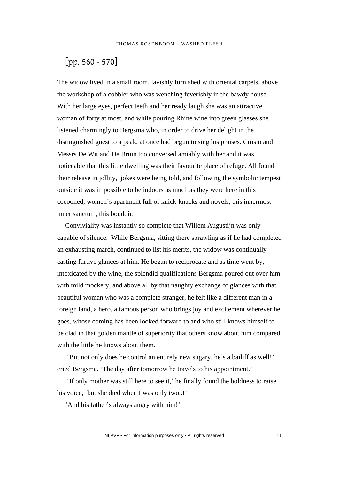## [pp. 560 - 570]

The widow lived in a small room, lavishly furnished with oriental carpets, above the workshop of a cobbler who was wenching feverishly in the bawdy house. With her large eyes, perfect teeth and her ready laugh she was an attractive woman of forty at most, and while pouring Rhine wine into green glasses she listened charmingly to Bergsma who, in order to drive her delight in the distinguished guest to a peak, at once had begun to sing his praises. Crusio and Messrs De Wit and De Bruin too conversed amiably with her and it was noticeable that this little dwelling was their favourite place of refuge. All found their release in jollity, jokes were being told, and following the symbolic tempest outside it was impossible to be indoors as much as they were here in this cocooned, women's apartment full of knick-knacks and novels, this innermost inner sanctum, this boudoir.

Conviviality was instantly so complete that Willem Augustijn was only capable of silence. While Bergsma, sitting there sprawling as if he had completed an exhausting march, continued to list his merits, the widow was continually casting furtive glances at him. He began to reciprocate and as time went by, intoxicated by the wine, the splendid qualifications Bergsma poured out over him with mild mockery, and above all by that naughty exchange of glances with that beautiful woman who was a complete stranger, he felt like a different man in a foreign land, a hero, a famous person who brings joy and excitement wherever he goes, whose coming has been looked forward to and who still knows himself to be clad in that golden mantle of superiority that others know about him compared with the little he knows about them.

 'But not only does he control an entirely new sugary, he's a bailiff as well!' cried Bergsma. 'The day after tomorrow he travels to his appointment.'

 'If only mother was still here to see it,' he finally found the boldness to raise his voice, 'but she died when I was only two..!'

'And his father's always angry with him!'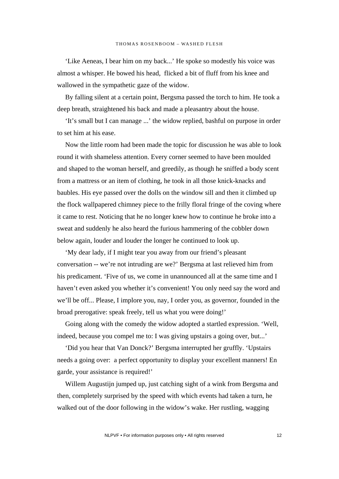'Like Aeneas, I bear him on my back...' He spoke so modestly his voice was almost a whisper. He bowed his head, flicked a bit of fluff from his knee and wallowed in the sympathetic gaze of the widow.

By falling silent at a certain point, Bergsma passed the torch to him. He took a deep breath, straightened his back and made a pleasantry about the house.

'It's small but I can manage ...' the widow replied, bashful on purpose in order to set him at his ease.

Now the little room had been made the topic for discussion he was able to look round it with shameless attention. Every corner seemed to have been moulded and shaped to the woman herself, and greedily, as though he sniffed a body scent from a mattress or an item of clothing, he took in all those knick-knacks and baubles. His eye passed over the dolls on the window sill and then it climbed up the flock wallpapered chimney piece to the frilly floral fringe of the coving where it came to rest. Noticing that he no longer knew how to continue he broke into a sweat and suddenly he also heard the furious hammering of the cobbler down below again, louder and louder the longer he continued to look up.

'My dear lady, if I might tear you away from our friend's pleasant conversation -- we're not intruding are we?' Bergsma at last relieved him from his predicament. 'Five of us, we come in unannounced all at the same time and I haven't even asked you whether it's convenient! You only need say the word and we'll be off... Please, I implore you, nay, I order you, as governor, founded in the broad prerogative: speak freely, tell us what you were doing!'

Going along with the comedy the widow adopted a startled expression. 'Well, indeed, because you compel me to: I was giving upstairs a going over, but...'

'Did you hear that Van Donck?' Bergsma interrupted her gruffly. 'Upstairs needs a going over: a perfect opportunity to display your excellent manners! En garde, your assistance is required!'

Willem Augustijn jumped up, just catching sight of a wink from Bergsma and then, completely surprised by the speed with which events had taken a turn, he walked out of the door following in the widow's wake. Her rustling, wagging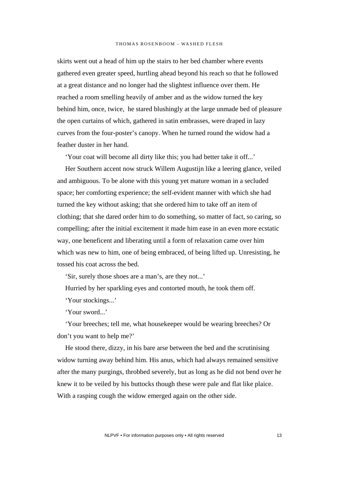skirts went out a head of him up the stairs to her bed chamber where events gathered even greater speed, hurtling ahead beyond his reach so that he followed at a great distance and no longer had the slightest influence over them. He reached a room smelling heavily of amber and as the widow turned the key behind him, once, twice, he stared blushingly at the large unmade bed of pleasure the open curtains of which, gathered in satin embrasses, were draped in lazy curves from the four-poster's canopy. When he turned round the widow had a feather duster in her hand.

'Your coat will become all dirty like this; you had better take it off...'

Her Southern accent now struck Willem Augustijn like a leering glance, veiled and ambiguous. To be alone with this young yet mature woman in a secluded space; her comforting experience; the self-evident manner with which she had turned the key without asking; that she ordered him to take off an item of clothing; that she dared order him to do something, so matter of fact, so caring, so compelling; after the initial excitement it made him ease in an even more ecstatic way, one beneficent and liberating until a form of relaxation came over him which was new to him, one of being embraced, of being lifted up. Unresisting, he tossed his coat across the bed.

'Sir, surely those shoes are a man's, are they not...'

Hurried by her sparkling eyes and contorted mouth, he took them off.

'Your stockings...'

'Your sword...'

'Your breeches; tell me, what housekeeper would be wearing breeches? Or don't you want to help me?'

He stood there, dizzy, in his bare arse between the bed and the scrutinising widow turning away behind him. His anus, which had always remained sensitive after the many purgings, throbbed severely, but as long as he did not bend over he knew it to be veiled by his buttocks though these were pale and flat like plaice. With a rasping cough the widow emerged again on the other side.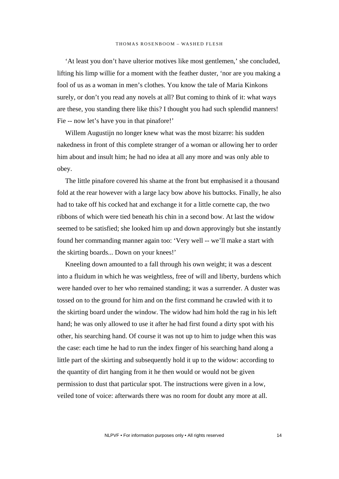'At least you don't have ulterior motives like most gentlemen,' she concluded, lifting his limp willie for a moment with the feather duster, 'nor are you making a fool of us as a woman in men's clothes. You know the tale of Maria Kinkons surely, or don't you read any novels at all? But coming to think of it: what ways are these, you standing there like this? I thought you had such splendid manners! Fie -- now let's have you in that pinafore!'

Willem Augustijn no longer knew what was the most bizarre: his sudden nakedness in front of this complete stranger of a woman or allowing her to order him about and insult him; he had no idea at all any more and was only able to obey.

The little pinafore covered his shame at the front but emphasised it a thousand fold at the rear however with a large lacy bow above his buttocks. Finally, he also had to take off his cocked hat and exchange it for a little cornette cap, the two ribbons of which were tied beneath his chin in a second bow. At last the widow seemed to be satisfied; she looked him up and down approvingly but she instantly found her commanding manner again too: 'Very well -- we'll make a start with the skirting boards... Down on your knees!'

Kneeling down amounted to a fall through his own weight; it was a descent into a fluidum in which he was weightless, free of will and liberty, burdens which were handed over to her who remained standing; it was a surrender. A duster was tossed on to the ground for him and on the first command he crawled with it to the skirting board under the window. The widow had him hold the rag in his left hand; he was only allowed to use it after he had first found a dirty spot with his other, his searching hand. Of course it was not up to him to judge when this was the case: each time he had to run the index finger of his searching hand along a little part of the skirting and subsequently hold it up to the widow: according to the quantity of dirt hanging from it he then would or would not be given permission to dust that particular spot. The instructions were given in a low, veiled tone of voice: afterwards there was no room for doubt any more at all.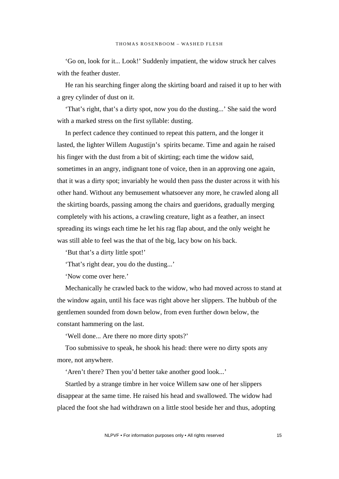'Go on, look for it... Look!' Suddenly impatient, the widow struck her calves with the feather duster.

He ran his searching finger along the skirting board and raised it up to her with a grey cylinder of dust on it.

'That's right, that's a dirty spot, now you do the dusting...' She said the word with a marked stress on the first syllable: dusting.

In perfect cadence they continued to repeat this pattern, and the longer it lasted, the lighter Willem Augustijn's spirits became. Time and again he raised his finger with the dust from a bit of skirting; each time the widow said, sometimes in an angry, indignant tone of voice, then in an approving one again, that it was a dirty spot; invariably he would then pass the duster across it with his other hand. Without any bemusement whatsoever any more, he crawled along all the skirting boards, passing among the chairs and gueridons, gradually merging completely with his actions, a crawling creature, light as a feather, an insect spreading its wings each time he let his rag flap about, and the only weight he was still able to feel was the that of the big, lacy bow on his back.

'But that's a dirty little spot!'

'That's right dear, you do the dusting...'

'Now come over here.'

Mechanically he crawled back to the widow, who had moved across to stand at the window again, until his face was right above her slippers. The hubbub of the gentlemen sounded from down below, from even further down below, the constant hammering on the last.

'Well done... Are there no more dirty spots?'

Too submissive to speak, he shook his head: there were no dirty spots any more, not anywhere.

'Aren't there? Then you'd better take another good look...'

Startled by a strange timbre in her voice Willem saw one of her slippers disappear at the same time. He raised his head and swallowed. The widow had placed the foot she had withdrawn on a little stool beside her and thus, adopting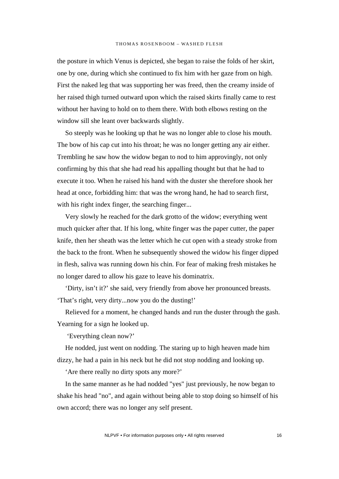the posture in which Venus is depicted, she began to raise the folds of her skirt, one by one, during which she continued to fix him with her gaze from on high. First the naked leg that was supporting her was freed, then the creamy inside of her raised thigh turned outward upon which the raised skirts finally came to rest without her having to hold on to them there. With both elbows resting on the window sill she leant over backwards slightly.

So steeply was he looking up that he was no longer able to close his mouth. The bow of his cap cut into his throat; he was no longer getting any air either. Trembling he saw how the widow began to nod to him approvingly, not only confirming by this that she had read his appalling thought but that he had to execute it too. When he raised his hand with the duster she therefore shook her head at once, forbidding him: that was the wrong hand, he had to search first, with his right index finger, the searching finger...

Very slowly he reached for the dark grotto of the widow; everything went much quicker after that. If his long, white finger was the paper cutter, the paper knife, then her sheath was the letter which he cut open with a steady stroke from the back to the front. When he subsequently showed the widow his finger dipped in flesh, saliva was running down his chin. For fear of making fresh mistakes he no longer dared to allow his gaze to leave his dominatrix.

'Dirty, isn't it?' she said, very friendly from above her pronounced breasts. 'That's right, very dirty...now you do the dusting!'

Relieved for a moment, he changed hands and run the duster through the gash. Yearning for a sign he looked up.

'Everything clean now?'

He nodded, just went on nodding. The staring up to high heaven made him dizzy, he had a pain in his neck but he did not stop nodding and looking up.

'Are there really no dirty spots any more?'

In the same manner as he had nodded "yes" just previously, he now began to shake his head "no", and again without being able to stop doing so himself of his own accord; there was no longer any self present.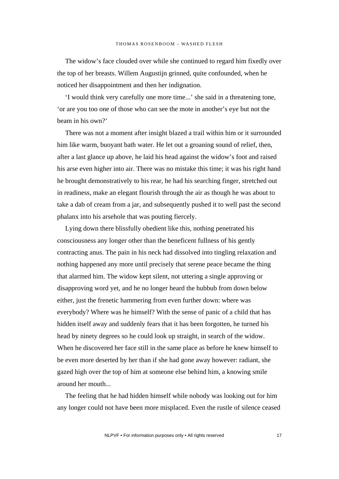The widow's face clouded over while she continued to regard him fixedly over the top of her breasts. Willem Augustijn grinned, quite confounded, when he noticed her disappointment and then her indignation.

'I would think very carefully one more time...' she said in a threatening tone, 'or are you too one of those who can see the mote in another's eye but not the beam in his own?'

There was not a moment after insight blazed a trail within him or it surrounded him like warm, buoyant bath water. He let out a groaning sound of relief, then, after a last glance up above, he laid his head against the widow's foot and raised his arse even higher into air. There was no mistake this time; it was his right hand he brought demonstratively to his rear, he had his searching finger, stretched out in readiness, make an elegant flourish through the air as though he was about to take a dab of cream from a jar, and subsequently pushed it to well past the second phalanx into his arsehole that was pouting fiercely.

Lying down there blissfully obedient like this, nothing penetrated his consciousness any longer other than the beneficent fullness of his gently contracting anus. The pain in his neck had dissolved into tingling relaxation and nothing happened any more until precisely that serene peace became the thing that alarmed him. The widow kept silent, not uttering a single approving or disapproving word yet, and he no longer heard the hubbub from down below either, just the frenetic hammering from even further down: where was everybody? Where was he himself? With the sense of panic of a child that has hidden itself away and suddenly fears that it has been forgotten, he turned his head by ninety degrees so he could look up straight, in search of the widow. When he discovered her face still in the same place as before he knew himself to be even more deserted by her than if she had gone away however: radiant, she gazed high over the top of him at someone else behind him, a knowing smile around her mouth...

The feeling that he had hidden himself while nobody was looking out for him any longer could not have been more misplaced. Even the rustle of silence ceased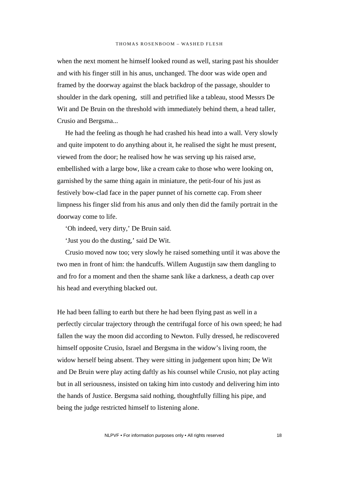when the next moment he himself looked round as well, staring past his shoulder and with his finger still in his anus, unchanged. The door was wide open and framed by the doorway against the black backdrop of the passage, shoulder to shoulder in the dark opening, still and petrified like a tableau, stood Messrs De Wit and De Bruin on the threshold with immediately behind them, a head taller, Crusio and Bergsma...

He had the feeling as though he had crashed his head into a wall. Very slowly and quite impotent to do anything about it, he realised the sight he must present, viewed from the door; he realised how he was serving up his raised arse, embellished with a large bow, like a cream cake to those who were looking on, garnished by the same thing again in miniature, the petit-four of his just as festively bow-clad face in the paper punnet of his cornette cap. From sheer limpness his finger slid from his anus and only then did the family portrait in the doorway come to life.

'Oh indeed, very dirty,' De Bruin said.

'Just you do the dusting,' said De Wit.

Crusio moved now too; very slowly he raised something until it was above the two men in front of him: the handcuffs. Willem Augustijn saw them dangling to and fro for a moment and then the shame sank like a darkness, a death cap over his head and everything blacked out.

He had been falling to earth but there he had been flying past as well in a perfectly circular trajectory through the centrifugal force of his own speed; he had fallen the way the moon did according to Newton. Fully dressed, he rediscovered himself opposite Crusio, Israel and Bergsma in the widow's living room, the widow herself being absent. They were sitting in judgement upon him; De Wit and De Bruin were play acting daftly as his counsel while Crusio, not play acting but in all seriousness, insisted on taking him into custody and delivering him into the hands of Justice. Bergsma said nothing, thoughtfully filling his pipe, and being the judge restricted himself to listening alone.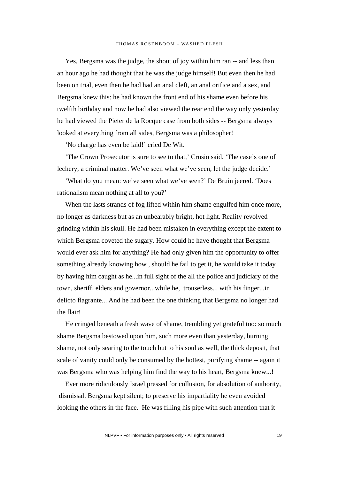Yes, Bergsma was the judge, the shout of joy within him ran -- and less than an hour ago he had thought that he was the judge himself! But even then he had been on trial, even then he had had an anal cleft, an anal orifice and a sex, and Bergsma knew this: he had known the front end of his shame even before his twelfth birthday and now he had also viewed the rear end the way only yesterday he had viewed the Pieter de la Rocque case from both sides -- Bergsma always looked at everything from all sides, Bergsma was a philosopher!

'No charge has even be laid!' cried De Wit.

'The Crown Prosecutor is sure to see to that,' Crusio said. 'The case's one of lechery, a criminal matter. We've seen what we've seen, let the judge decide.'

'What do you mean: we've seen what we've seen?' De Bruin jeered. 'Does rationalism mean nothing at all to you?'

When the lasts strands of fog lifted within him shame engulfed him once more, no longer as darkness but as an unbearably bright, hot light. Reality revolved grinding within his skull. He had been mistaken in everything except the extent to which Bergsma coveted the sugary. How could he have thought that Bergsma would ever ask him for anything? He had only given him the opportunity to offer something already knowing how , should he fail to get it, he would take it today by having him caught as he...in full sight of the all the police and judiciary of the town, sheriff, elders and governor...while he, trouserless... with his finger...in delicto flagrante... And he had been the one thinking that Bergsma no longer had the flair!

He cringed beneath a fresh wave of shame, trembling yet grateful too: so much shame Bergsma bestowed upon him, such more even than yesterday, burning shame, not only searing to the touch but to his soul as well, the thick deposit, that scale of vanity could only be consumed by the hottest, purifying shame -- again it was Bergsma who was helping him find the way to his heart, Bergsma knew...!

Ever more ridiculously Israel pressed for collusion, for absolution of authority, dismissal. Bergsma kept silent; to preserve his impartiality he even avoided looking the others in the face. He was filling his pipe with such attention that it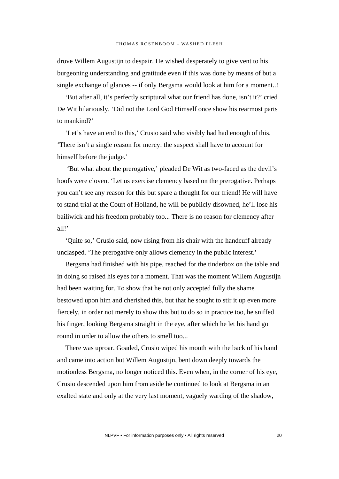drove Willem Augustijn to despair. He wished desperately to give vent to his burgeoning understanding and gratitude even if this was done by means of but a single exchange of glances -- if only Bergsma would look at him for a moment..!

'But after all, it's perfectly scriptural what our friend has done, isn't it?' cried De Wit hilariously. 'Did not the Lord God Himself once show his rearmost parts to mankind?'

'Let's have an end to this,' Crusio said who visibly had had enough of this. 'There isn't a single reason for mercy: the suspect shall have to account for himself before the judge.'

 'But what about the prerogative,' pleaded De Wit as two-faced as the devil's hoofs were cloven. 'Let us exercise clemency based on the prerogative. Perhaps you can't see any reason for this but spare a thought for our friend! He will have to stand trial at the Court of Holland, he will be publicly disowned, he'll lose his bailiwick and his freedom probably too... There is no reason for clemency after  $all!$ 

'Quite so,' Crusio said, now rising from his chair with the handcuff already unclasped. 'The prerogative only allows clemency in the public interest.'

Bergsma had finished with his pipe, reached for the tinderbox on the table and in doing so raised his eyes for a moment. That was the moment Willem Augustijn had been waiting for. To show that he not only accepted fully the shame bestowed upon him and cherished this, but that he sought to stir it up even more fiercely, in order not merely to show this but to do so in practice too, he sniffed his finger, looking Bergsma straight in the eye, after which he let his hand go round in order to allow the others to smell too...

There was uproar. Goaded, Crusio wiped his mouth with the back of his hand and came into action but Willem Augustijn, bent down deeply towards the motionless Bergsma, no longer noticed this. Even when, in the corner of his eye, Crusio descended upon him from aside he continued to look at Bergsma in an exalted state and only at the very last moment, vaguely warding of the shadow,